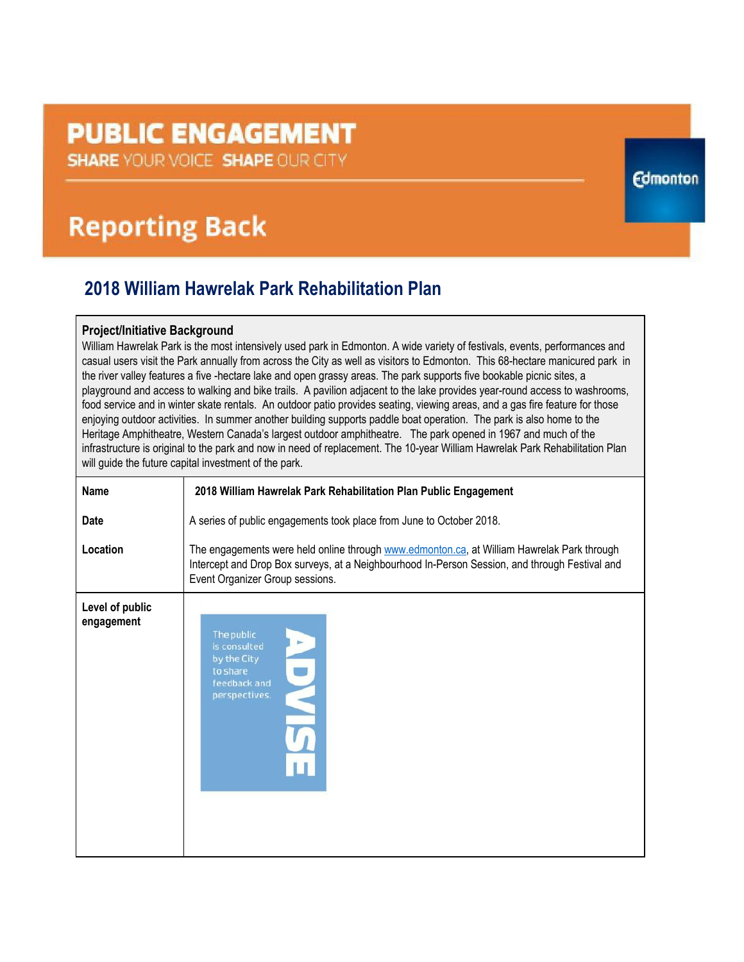# **PUBLIC ENGAGEMENT**

**SHARE YOUR VOICE SHAPE OUR CITY** 

## **Reporting Back**

### **2018 William Hawrelak Park Rehabilitation Plan**

### **Project/Initiative Background**

William Hawrelak Park is the most intensively used park in Edmonton. A wide variety of festivals, events, performances and casual users visit the Park annually from across the City as well as visitors to Edmonton. This 68-hectare manicured park in the river valley features a five -hectare lake and open grassy areas. The park supports five bookable picnic sites, a playground and access to walking and bike trails. A pavilion adjacent to the lake provides year-round access to washrooms, food service and in winter skate rentals. An outdoor patio provides seating, viewing areas, and a gas fire feature for those enjoying outdoor activities. In summer another building supports paddle boat operation. The park is also home to the Heritage Amphitheatre, Western Canada's largest outdoor amphitheatre. The park opened in 1967 and much of the infrastructure is original to the park and now in need of replacement. The 10-year William Hawrelak Park Rehabilitation Plan will guide the future capital investment of the park.

**Edmonton** 

| <b>Name</b>                   | 2018 William Hawrelak Park Rehabilitation Plan Public Engagement                                                                                                                                                                |
|-------------------------------|---------------------------------------------------------------------------------------------------------------------------------------------------------------------------------------------------------------------------------|
| <b>Date</b>                   | A series of public engagements took place from June to October 2018.                                                                                                                                                            |
| Location                      | The engagements were held online through www.edmonton.ca, at William Hawrelak Park through<br>Intercept and Drop Box surveys, at a Neighbourhood In-Person Session, and through Festival and<br>Event Organizer Group sessions. |
| Level of public<br>engagement | The public<br>is consulted<br>by the City<br>to share<br>feedback and<br>perspectives.                                                                                                                                          |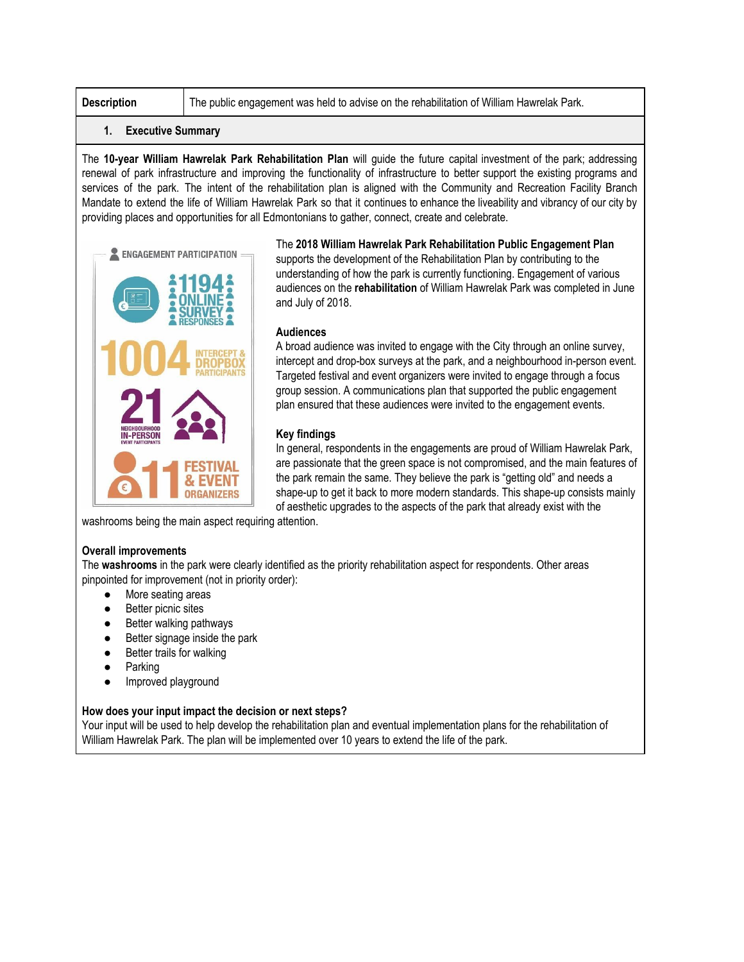**Description** The public engagement was held to advise on the rehabilitation of William Hawrelak Park.

#### **1. Executive Summary**

The **10-year William Hawrelak Park Rehabilitation Plan** will guide the future capital investment of the park; addressing renewal of park infrastructure and improving the functionality of infrastructure to better support the existing programs and services of the park. The intent of the rehabilitation plan is aligned with the Community and Recreation Facility Branch Mandate to extend the life of William Hawrelak Park so that it continues to enhance the liveability and vibrancy of our city by providing places and opportunities for all Edmontonians to gather, connect, create and celebrate.



The **2018 William Hawrelak Park Rehabilitation Public Engagement Plan** supports the development of the Rehabilitation Plan by contributing to the understanding of how the park is currently functioning. Engagement of various audiences on the **rehabilitation** of William Hawrelak Park was completed in June and July of 2018.

#### **Audiences**

A broad audience was invited to engage with the City through an online survey, intercept and drop-box surveys at the park, and a neighbourhood in-person event. Targeted festival and event organizers were invited to engage through a focus group session. A communications plan that supported the public engagement plan ensured that these audiences were invited to the engagement events.

#### **Key findings**

In general, respondents in the engagements are proud of William Hawrelak Park, are passionate that the green space is not compromised, and the main features of the park remain the same. They believe the park is "getting old" and needs a shape-up to get it back to more modern standards. This shape-up consists mainly of aesthetic upgrades to the aspects of the park that already exist with the

washrooms being the main aspect requiring attention.

#### **Overall improvements**

The **washrooms** in the park were clearly identified as the priority rehabilitation aspect for respondents. Other areas pinpointed for improvement (not in priority order):

- More seating areas
- **Better picnic sites**
- Better walking pathways
- Better signage inside the park
- Better trails for walking
- Parking
- Improved playground

#### **How does your input impact the decision or next steps?**

Your input will be used to help develop the rehabilitation plan and eventual implementation plans for the rehabilitation of William Hawrelak Park. The plan will be implemented over 10 years to extend the life of the park.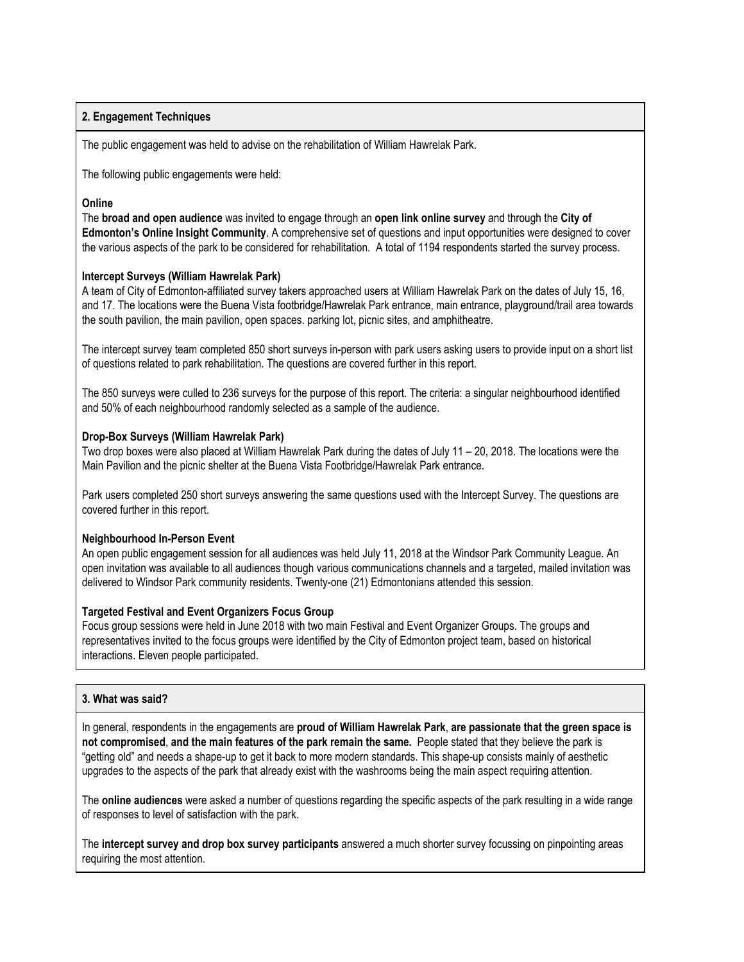#### **2. Engagement Techniques**

The public engagement was held to advise on the rehabilitation of William Hawrelak Park.

The following public engagements were held:

#### **Online**

The **broad and open audience** was invited to engage through an **open link online survey** and through the **City of Edmonton's Online Insight Community**. A comprehensive set of questions and input opportunities were designed to cover the various aspects of the park to be considered for rehabilitation. A total of 1194 respondents started the survey process.

#### **Intercept Surveys (William Hawrelak Park)**

A team of City of Edmonton-affiliated survey takers approached users at William Hawrelak Park on the dates of July 15, 16, and 17. The locations were the Buena Vista footbridge/Hawrelak Park entrance, main entrance, playground/trail area towards the south pavilion, the main pavilion, open spaces. parking lot, picnic sites, and amphitheatre.

The intercept survey team completed 850 short surveys in-person with park users asking users to provide input on a short list of questions related to park rehabilitation. The questions are covered further in this report.

The 850 surveys were culled to 236 surveys for the purpose of this report. The criteria: a singular neighbourhood identified and 50% of each neighbourhood randomly selected as a sample of the audience.

#### **Drop-Box Surveys (William Hawrelak Park)**

Two drop boxes were also placed at William Hawrelak Park during the dates of July 11 – 20, 2018. The locations were the Main Pavilion and the picnic shelter at the Buena Vista Footbridge/Hawrelak Park entrance.

Park users completed 250 short surveys answering the same questions used with the Intercept Survey. The questions are covered further in this report.

#### **Neighbourhood In-Person Event**

An open public engagement session for all audiences was held July 11, 2018 at the Windsor Park Community League. An open invitation was available to all audiences though various communications channels and a targeted, mailed invitation was delivered to Windsor Park community residents. Twenty-one (21) Edmontonians attended this session.

#### **Targeted Festival and Event Organizers Focus Group**

Focus group sessions were held in June 2018 with two main Festival and Event Organizer Groups. The groups and representatives invited to the focus groups were identified by the City of Edmonton project team, based on historical interactions. Eleven people participated.

#### **3. What was said?**

In general, respondents in the engagements are **proud of William Hawrelak Park**, **are passionate that the green space is not compromised**, **and the main features of the park remain the same.** People stated that they believe the park is "getting old" and needs a shape-up to get it back to more modern standards. This shape-up consists mainly of aesthetic upgrades to the aspects of the park that already exist with the washrooms being the main aspect requiring attention.

The **online audiences** were asked a number of questions regarding the specific aspects of the park resulting in a wide range of responses to level of satisfaction with the park.

The **intercept survey and drop box survey participants** answered a much shorter survey focussing on pinpointing areas requiring the most attention.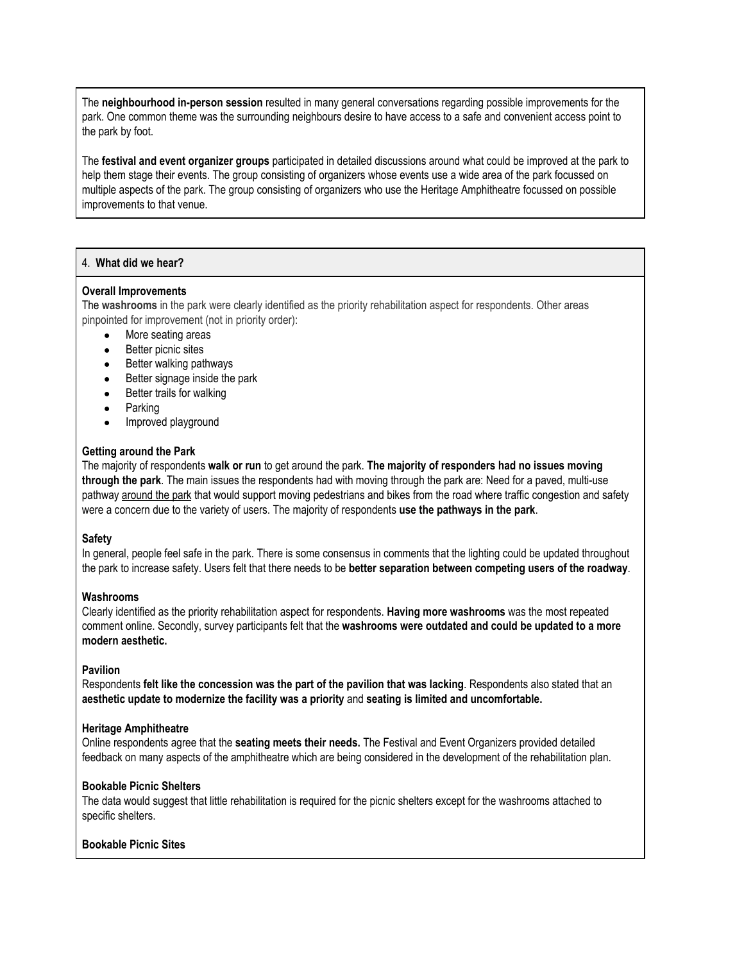The **neighbourhood in-person session** resulted in many general conversations regarding possible improvements for the park. One common theme was the surrounding neighbours desire to have access to a safe and convenient access point to the park by foot.

The **festival and event organizer groups** participated in detailed discussions around what could be improved at the park to help them stage their events. The group consisting of organizers whose events use a wide area of the park focussed on multiple aspects of the park. The group consisting of organizers who use the Heritage Amphitheatre focussed on possible improvements to that venue.

#### 4. **What did we hear?**

#### **Overall Improvements**

The **washrooms** in the park were clearly identified as the priority rehabilitation aspect for respondents. Other areas pinpointed for improvement (not in priority order):

- More seating areas
- Better picnic sites
- Better walking pathways
- Better signage inside the park
- Better trails for walking
- Parking
- Improved playground

#### **Getting around the Park**

The majority of respondents **walk or run** to get around the park. **The majority of responders had no issues moving through the park**. The main issues the respondents had with moving through the park are: Need for a paved, multi-use pathway around the park that would support moving pedestrians and bikes from the road where traffic congestion and safety were a concern due to the variety of users. The majority of respondents **use the pathways in the park**.

#### **Safety**

In general, people feel safe in the park. There is some consensus in comments that the lighting could be updated throughout the park to increase safety. Users felt that there needs to be **better separation between competing users of the roadway**.

#### **Washrooms**

Clearly identified as the priority rehabilitation aspect for respondents. **Having more washrooms** was the most repeated comment online. Secondly, survey participants felt that the **washrooms were outdated and could be updated to a more modern aesthetic.**

#### **Pavilion**

Respondents **felt like the concession was the part of the pavilion that was lacking**. Respondents also stated that an **aesthetic update to modernize the facility was a priority** and **seating is limited and uncomfortable.**

#### **Heritage Amphitheatre**

Online respondents agree that the **seating meets their needs.** The Festival and Event Organizers provided detailed feedback on many aspects of the amphitheatre which are being considered in the development of the rehabilitation plan.

#### **Bookable Picnic Shelters**

The data would suggest that little rehabilitation is required for the picnic shelters except for the washrooms attached to specific shelters.

#### **Bookable Picnic Sites**